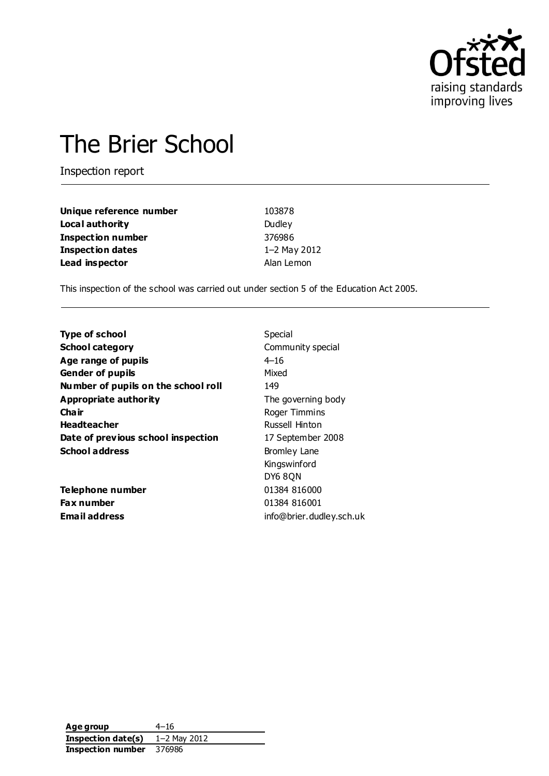

# The Brier School

Inspection report

| Unique reference number  | 103878       |
|--------------------------|--------------|
| Local authority          | Dudley       |
| <b>Inspection number</b> | 376986       |
| <b>Inspection dates</b>  | 1-2 May 2012 |
| Lead inspector           | Alan Lemon   |

This inspection of the school was carried out under section 5 of the Education Act 2005.

| <b>Type of school</b>               | Special                  |
|-------------------------------------|--------------------------|
| <b>School category</b>              | Community special        |
| Age range of pupils                 | $4 - 16$                 |
| <b>Gender of pupils</b>             | Mixed                    |
| Number of pupils on the school roll | 149                      |
| Appropriate authority               | The governing body       |
| Cha ir                              | Roger Timmins            |
| <b>Headteacher</b>                  | Russell Hinton           |
| Date of previous school inspection  | 17 September 2008        |
| <b>School address</b>               | <b>Bromley Lane</b>      |
|                                     | Kingswinford             |
|                                     | DY6 8QN                  |
| Telephone number                    | 01384 816000             |
| <b>Fax number</b>                   | 01384 816001             |
| Email address                       | info@brier.dudley.sch.uk |

Age group 4-16 **Inspection date(s)** 1–2 May 2012 **Inspection number** 376986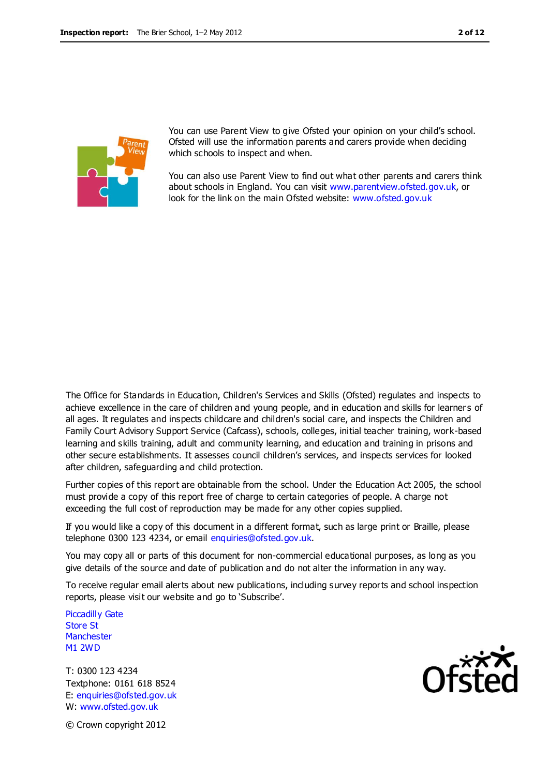

You can use Parent View to give Ofsted your opinion on your child's school. Ofsted will use the information parents and carers provide when deciding which schools to inspect and when.

You can also use Parent View to find out what other parents and carers think about schools in England. You can visit [www.parentview.ofsted.gov.uk,](http://www.parentview.ofsted.gov.uk/) or look for the link on the main Ofsted website: [www.ofsted.gov.uk](http://www.ofsted.gov.uk/)

The Office for Standards in Education, Children's Services and Skills (Ofsted) regulates and inspects to achieve excellence in the care of children and young people, and in education and skills for learners of all ages. It regulates and inspects childcare and children's social care, and inspects the Children and Family Court Advisory Support Service (Cafcass), schools, colleges, initial teacher training, work-based learning and skills training, adult and community learning, and education and training in prisons and other secure establishments. It assesses council children's services, and inspects services for looked after children, safeguarding and child protection.

Further copies of this report are obtainable from the school. Under the Education Act 2005, the school must provide a copy of this report free of charge to certain categories of people. A charge not exceeding the full cost of reproduction may be made for any other copies supplied.

If you would like a copy of this document in a different format, such as large print or Braille, please telephone 0300 123 4234, or email enquiries@ofsted.gov.uk.

You may copy all or parts of this document for non-commercial educational purposes, as long as you give details of the source and date of publication and do not alter the information in any way.

To receive regular email alerts about new publications, including survey reports and school inspection reports, please visit our website and go to 'Subscribe'.

Piccadilly Gate Store St **Manchester** M1 2WD

T: 0300 123 4234 Textphone: 0161 618 8524 E: enquiries@ofsted.gov.uk W: www.ofsted.gov.uk



© Crown copyright 2012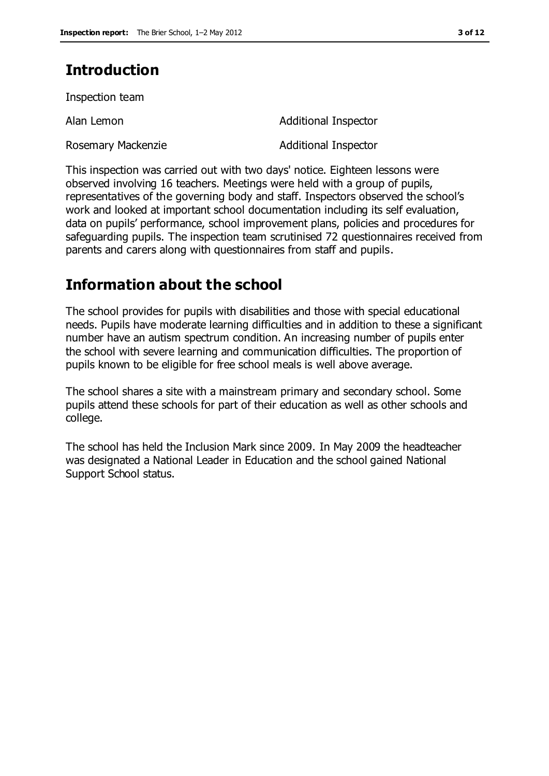# **Introduction**

Inspection team

Rosemary Mackenzie **Additional Inspector** 

Alan Lemon and Additional Inspector

This inspection was carried out with two days' notice. Eighteen lessons were observed involving 16 teachers. Meetings were held with a group of pupils, representatives of the governing body and staff. Inspectors observed the school's work and looked at important school documentation including its self evaluation, data on pupils' performance, school improvement plans, policies and procedures for safeguarding pupils. The inspection team scrutinised 72 questionnaires received from parents and carers along with questionnaires from staff and pupils.

# **Information about the school**

The school provides for pupils with disabilities and those with special educational needs. Pupils have moderate learning difficulties and in addition to these a significant number have an autism spectrum condition. An increasing number of pupils enter the school with severe learning and communication difficulties. The proportion of pupils known to be eligible for free school meals is well above average.

The school shares a site with a mainstream primary and secondary school. Some pupils attend these schools for part of their education as well as other schools and college.

The school has held the Inclusion Mark since 2009. In May 2009 the headteacher was designated a National Leader in Education and the school gained National Support School status.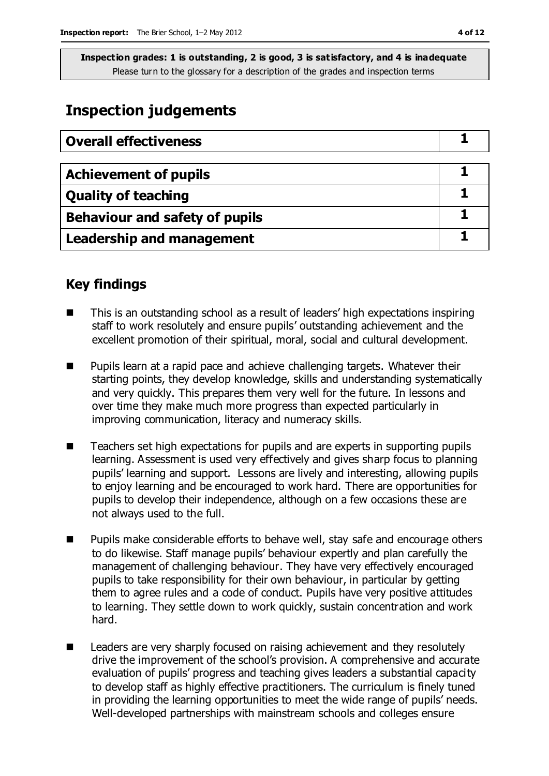## **Inspection judgements**

| <b>Overall effectiveness</b>          |  |
|---------------------------------------|--|
|                                       |  |
| <b>Achievement of pupils</b>          |  |
| <b>Quality of teaching</b>            |  |
| <b>Behaviour and safety of pupils</b> |  |
| <b>Leadership and management</b>      |  |

## **Key findings**

- This is an outstanding school as a result of leaders' high expectations inspiring staff to work resolutely and ensure pupils' outstanding achievement and the excellent promotion of their spiritual, moral, social and cultural development.
- **Pupils learn at a rapid pace and achieve challenging targets. Whatever their** starting points, they develop knowledge, skills and understanding systematically and very quickly. This prepares them very well for the future. In lessons and over time they make much more progress than expected particularly in improving communication, literacy and numeracy skills.
- Teachers set high expectations for pupils and are experts in supporting pupils learning. Assessment is used very effectively and gives sharp focus to planning pupils' learning and support. Lessons are lively and interesting, allowing pupils to enjoy learning and be encouraged to work hard. There are opportunities for pupils to develop their independence, although on a few occasions these are not always used to the full.
- Pupils make considerable efforts to behave well, stay safe and encourage others to do likewise. Staff manage pupils' behaviour expertly and plan carefully the management of challenging behaviour. They have very effectively encouraged pupils to take responsibility for their own behaviour, in particular by getting them to agree rules and a code of conduct. Pupils have very positive attitudes to learning. They settle down to work quickly, sustain concentration and work hard.
- Leaders are very sharply focused on raising achievement and they resolutely drive the improvement of the school's provision. A comprehensive and accurate evaluation of pupils' progress and teaching gives leaders a substantial capacity to develop staff as highly effective practitioners. The curriculum is finely tuned in providing the learning opportunities to meet the wide range of pupils' needs. Well-developed partnerships with mainstream schools and colleges ensure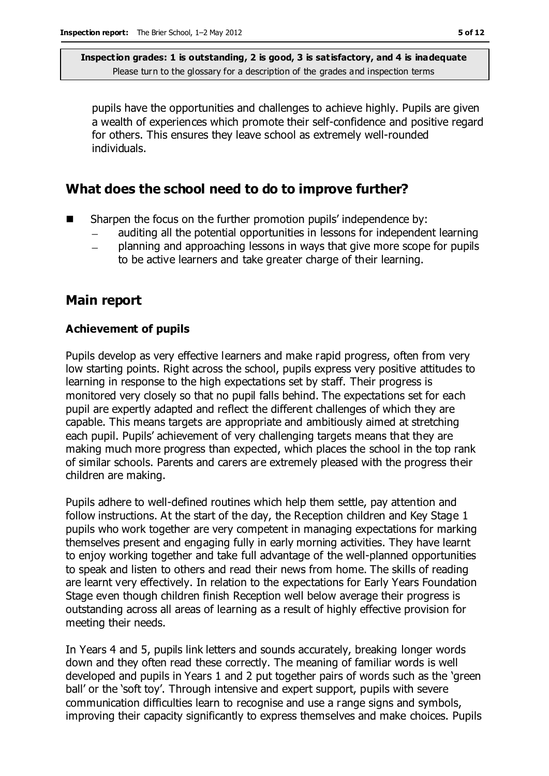pupils have the opportunities and challenges to achieve highly. Pupils are given a wealth of experiences which promote their self-confidence and positive regard for others. This ensures they leave school as extremely well-rounded individuals.

### **What does the school need to do to improve further?**

- Sharpen the focus on the further promotion pupils' independence by:
	- auditing all the potential opportunities in lessons for independent learning
	- planning and approaching lessons in ways that give more scope for pupils to be active learners and take greater charge of their learning.

## **Main report**

#### **Achievement of pupils**

Pupils develop as very effective learners and make rapid progress, often from very low starting points. Right across the school, pupils express very positive attitudes to learning in response to the high expectations set by staff. Their progress is monitored very closely so that no pupil falls behind. The expectations set for each pupil are expertly adapted and reflect the different challenges of which they are capable. This means targets are appropriate and ambitiously aimed at stretching each pupil. Pupils' achievement of very challenging targets means that they are making much more progress than expected, which places the school in the top rank of similar schools. Parents and carers are extremely pleased with the progress their children are making.

Pupils adhere to well-defined routines which help them settle, pay attention and follow instructions. At the start of the day, the Reception children and Key Stage 1 pupils who work together are very competent in managing expectations for marking themselves present and engaging fully in early morning activities. They have learnt to enjoy working together and take full advantage of the well-planned opportunities to speak and listen to others and read their news from home. The skills of reading are learnt very effectively. In relation to the expectations for Early Years Foundation Stage even though children finish Reception well below average their progress is outstanding across all areas of learning as a result of highly effective provision for meeting their needs.

In Years 4 and 5, pupils link letters and sounds accurately, breaking longer words down and they often read these correctly. The meaning of familiar words is well developed and pupils in Years 1 and 2 put together pairs of words such as the 'green ball' or the 'soft toy'. Through intensive and expert support, pupils with severe communication difficulties learn to recognise and use a range signs and symbols, improving their capacity significantly to express themselves and make choices. Pupils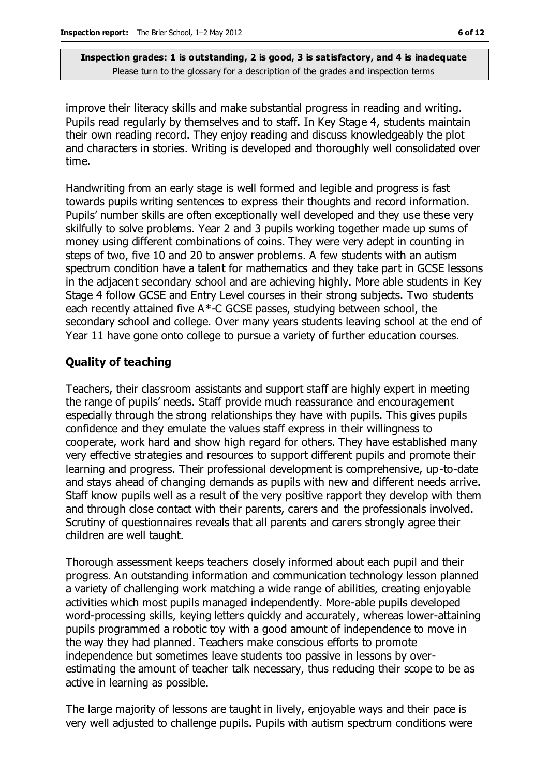improve their literacy skills and make substantial progress in reading and writing. Pupils read regularly by themselves and to staff. In Key Stage 4, students maintain their own reading record. They enjoy reading and discuss knowledgeably the plot and characters in stories. Writing is developed and thoroughly well consolidated over time.

Handwriting from an early stage is well formed and legible and progress is fast towards pupils writing sentences to express their thoughts and record information. Pupils' number skills are often exceptionally well developed and they use these very skilfully to solve problems. Year 2 and 3 pupils working together made up sums of money using different combinations of coins. They were very adept in counting in steps of two, five 10 and 20 to answer problems. A few students with an autism spectrum condition have a talent for mathematics and they take part in GCSE lessons in the adjacent secondary school and are achieving highly. More able students in Key Stage 4 follow GCSE and Entry Level courses in their strong subjects. Two students each recently attained five A\*-C GCSE passes, studying between school, the secondary school and college. Over many years students leaving school at the end of Year 11 have gone onto college to pursue a variety of further education courses.

#### **Quality of teaching**

Teachers, their classroom assistants and support staff are highly expert in meeting the range of pupils' needs. Staff provide much reassurance and encouragement especially through the strong relationships they have with pupils. This gives pupils confidence and they emulate the values staff express in their willingness to cooperate, work hard and show high regard for others. They have established many very effective strategies and resources to support different pupils and promote their learning and progress. Their professional development is comprehensive, up-to-date and stays ahead of changing demands as pupils with new and different needs arrive. Staff know pupils well as a result of the very positive rapport they develop with them and through close contact with their parents, carers and the professionals involved. Scrutiny of questionnaires reveals that all parents and carers strongly agree their children are well taught.

Thorough assessment keeps teachers closely informed about each pupil and their progress. An outstanding information and communication technology lesson planned a variety of challenging work matching a wide range of abilities, creating enjoyable activities which most pupils managed independently. More-able pupils developed word-processing skills, keying letters quickly and accurately, whereas lower-attaining pupils programmed a robotic toy with a good amount of independence to move in the way they had planned. Teachers make conscious efforts to promote independence but sometimes leave students too passive in lessons by overestimating the amount of teacher talk necessary, thus reducing their scope to be as active in learning as possible.

The large majority of lessons are taught in lively, enjoyable ways and their pace is very well adjusted to challenge pupils. Pupils with autism spectrum conditions were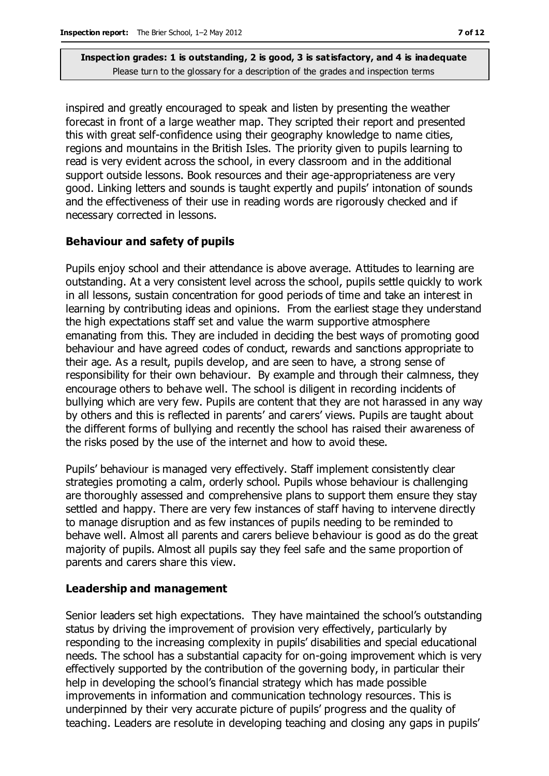inspired and greatly encouraged to speak and listen by presenting the weather forecast in front of a large weather map. They scripted their report and presented this with great self-confidence using their geography knowledge to name cities, regions and mountains in the British Isles. The priority given to pupils learning to read is very evident across the school, in every classroom and in the additional support outside lessons. Book resources and their age-appropriateness are very good. Linking letters and sounds is taught expertly and pupils' intonation of sounds and the effectiveness of their use in reading words are rigorously checked and if necessary corrected in lessons.

#### **Behaviour and safety of pupils**

Pupils enjoy school and their attendance is above average. Attitudes to learning are outstanding. At a very consistent level across the school, pupils settle quickly to work in all lessons, sustain concentration for good periods of time and take an interest in learning by contributing ideas and opinions. From the earliest stage they understand the high expectations staff set and value the warm supportive atmosphere emanating from this. They are included in deciding the best ways of promoting good behaviour and have agreed codes of conduct, rewards and sanctions appropriate to their age. As a result, pupils develop, and are seen to have, a strong sense of responsibility for their own behaviour. By example and through their calmness, they encourage others to behave well. The school is diligent in recording incidents of bullying which are very few. Pupils are content that they are not harassed in any way by others and this is reflected in parents' and carers' views. Pupils are taught about the different forms of bullying and recently the school has raised their awareness of the risks posed by the use of the internet and how to avoid these.

Pupils' behaviour is managed very effectively. Staff implement consistently clear strategies promoting a calm, orderly school. Pupils whose behaviour is challenging are thoroughly assessed and comprehensive plans to support them ensure they stay settled and happy. There are very few instances of staff having to intervene directly to manage disruption and as few instances of pupils needing to be reminded to behave well. Almost all parents and carers believe behaviour is good as do the great majority of pupils. Almost all pupils say they feel safe and the same proportion of parents and carers share this view.

#### **Leadership and management**

Senior leaders set high expectations. They have maintained the school's outstanding status by driving the improvement of provision very effectively, particularly by responding to the increasing complexity in pupils' disabilities and special educational needs. The school has a substantial capacity for on-going improvement which is very effectively supported by the contribution of the governing body, in particular their help in developing the school's financial strategy which has made possible improvements in information and communication technology resources. This is underpinned by their very accurate picture of pupils' progress and the quality of teaching. Leaders are resolute in developing teaching and closing any gaps in pupils'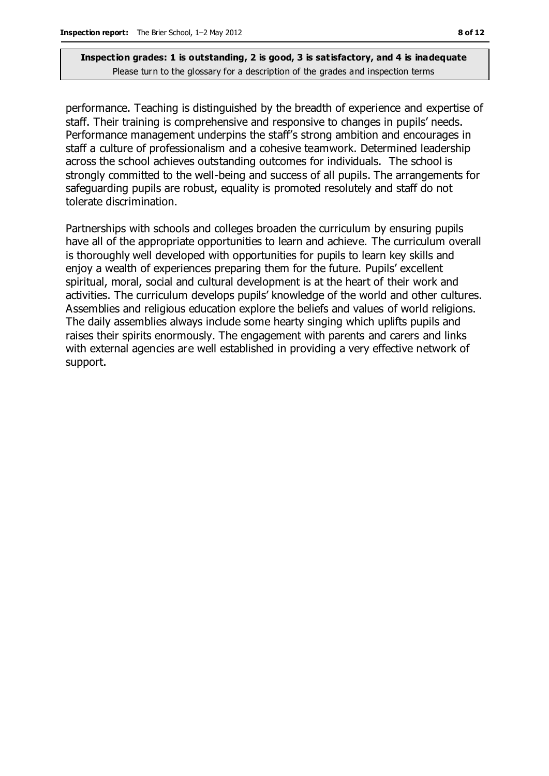performance. Teaching is distinguished by the breadth of experience and expertise of staff. Their training is comprehensive and responsive to changes in pupils' needs. Performance management underpins the staff's strong ambition and encourages in staff a culture of professionalism and a cohesive teamwork. Determined leadership across the school achieves outstanding outcomes for individuals. The school is strongly committed to the well-being and success of all pupils. The arrangements for safeguarding pupils are robust, equality is promoted resolutely and staff do not tolerate discrimination.

Partnerships with schools and colleges broaden the curriculum by ensuring pupils have all of the appropriate opportunities to learn and achieve. The curriculum overall is thoroughly well developed with opportunities for pupils to learn key skills and enjoy a wealth of experiences preparing them for the future. Pupils' excellent spiritual, moral, social and cultural development is at the heart of their work and activities. The curriculum develops pupils' knowledge of the world and other cultures. Assemblies and religious education explore the beliefs and values of world religions. The daily assemblies always include some hearty singing which uplifts pupils and raises their spirits enormously. The engagement with parents and carers and links with external agencies are well established in providing a very effective network of support.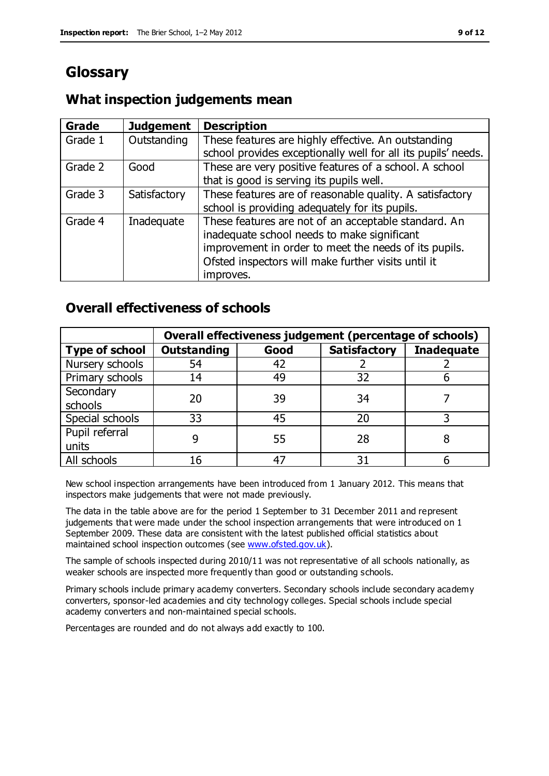# **Glossary**

## **What inspection judgements mean**

| Grade   | <b>Judgement</b> | <b>Description</b>                                            |
|---------|------------------|---------------------------------------------------------------|
| Grade 1 | Outstanding      | These features are highly effective. An outstanding           |
|         |                  | school provides exceptionally well for all its pupils' needs. |
| Grade 2 | Good             | These are very positive features of a school. A school        |
|         |                  | that is good is serving its pupils well.                      |
| Grade 3 | Satisfactory     | These features are of reasonable quality. A satisfactory      |
|         |                  | school is providing adequately for its pupils.                |
| Grade 4 | Inadequate       | These features are not of an acceptable standard. An          |
|         |                  | inadequate school needs to make significant                   |
|         |                  | improvement in order to meet the needs of its pupils.         |
|         |                  | Ofsted inspectors will make further visits until it           |
|         |                  | improves.                                                     |

## **Overall effectiveness of schools**

|                       | Overall effectiveness judgement (percentage of schools) |      |                     |                   |
|-----------------------|---------------------------------------------------------|------|---------------------|-------------------|
| <b>Type of school</b> | <b>Outstanding</b>                                      | Good | <b>Satisfactory</b> | <b>Inadequate</b> |
| Nursery schools       | 54                                                      | 42   |                     |                   |
| Primary schools       | 14                                                      | 49   | 32                  |                   |
| Secondary             | 20                                                      | 39   | 34                  |                   |
| schools               |                                                         |      |                     |                   |
| Special schools       | 33                                                      | 45   | 20                  |                   |
| Pupil referral        |                                                         | 55   | 28                  |                   |
| units                 |                                                         |      |                     |                   |
| All schools           | 16                                                      | 47   | 31                  |                   |

New school inspection arrangements have been introduced from 1 January 2012. This means that inspectors make judgements that were not made previously.

The data in the table above are for the period 1 September to 31 December 2011 and represent judgements that were made under the school inspection arrangements that were introduced on 1 September 2009. These data are consistent with the latest published official statistics about maintained school inspection outcomes (see [www.ofsted.gov.uk\)](http://www.ofsted.gov.uk/).

The sample of schools inspected during 2010/11 was not representative of all schools nationally, as weaker schools are inspected more frequently than good or outstanding schools.

Primary schools include primary academy converters. Secondary schools include secondary academy converters, sponsor-led academies and city technology colleges. Special schools include special academy converters and non-maintained special schools.

Percentages are rounded and do not always add exactly to 100.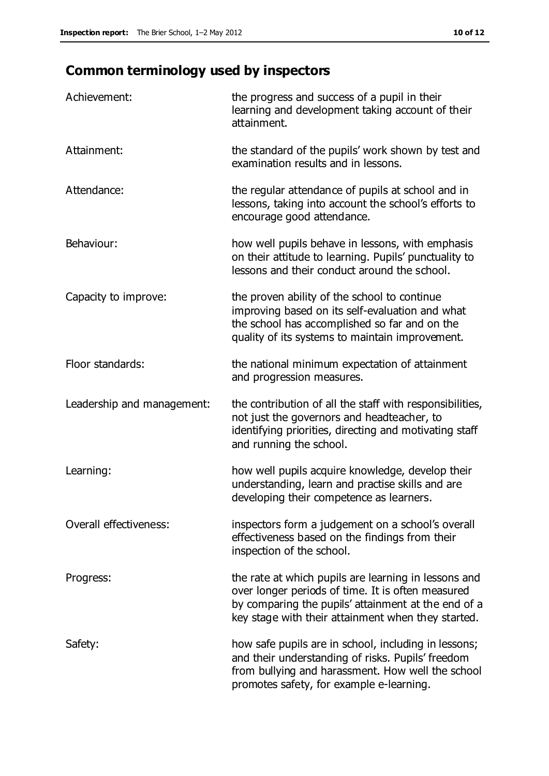# **Common terminology used by inspectors**

| Achievement:                  | the progress and success of a pupil in their<br>learning and development taking account of their<br>attainment.                                                                                                        |
|-------------------------------|------------------------------------------------------------------------------------------------------------------------------------------------------------------------------------------------------------------------|
| Attainment:                   | the standard of the pupils' work shown by test and<br>examination results and in lessons.                                                                                                                              |
| Attendance:                   | the regular attendance of pupils at school and in<br>lessons, taking into account the school's efforts to<br>encourage good attendance.                                                                                |
| Behaviour:                    | how well pupils behave in lessons, with emphasis<br>on their attitude to learning. Pupils' punctuality to<br>lessons and their conduct around the school.                                                              |
| Capacity to improve:          | the proven ability of the school to continue<br>improving based on its self-evaluation and what<br>the school has accomplished so far and on the<br>quality of its systems to maintain improvement.                    |
| Floor standards:              | the national minimum expectation of attainment<br>and progression measures.                                                                                                                                            |
| Leadership and management:    | the contribution of all the staff with responsibilities,<br>not just the governors and headteacher, to<br>identifying priorities, directing and motivating staff<br>and running the school.                            |
| Learning:                     | how well pupils acquire knowledge, develop their<br>understanding, learn and practise skills and are<br>developing their competence as learners.                                                                       |
| <b>Overall effectiveness:</b> | inspectors form a judgement on a school's overall<br>effectiveness based on the findings from their<br>inspection of the school.                                                                                       |
| Progress:                     | the rate at which pupils are learning in lessons and<br>over longer periods of time. It is often measured<br>by comparing the pupils' attainment at the end of a<br>key stage with their attainment when they started. |
| Safety:                       | how safe pupils are in school, including in lessons;<br>and their understanding of risks. Pupils' freedom<br>from bullying and harassment. How well the school<br>promotes safety, for example e-learning.             |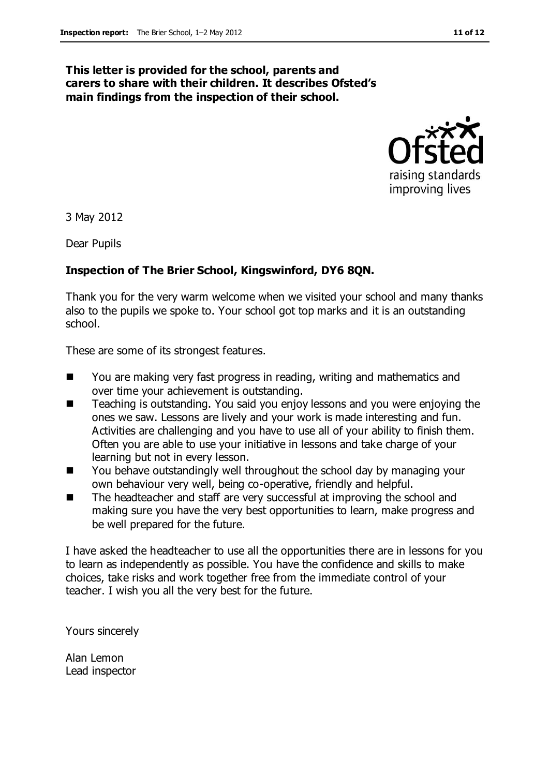#### **This letter is provided for the school, parents and carers to share with their children. It describes Ofsted's main findings from the inspection of their school.**



3 May 2012

Dear Pupils

#### **Inspection of The Brier School, Kingswinford, DY6 8QN.**

Thank you for the very warm welcome when we visited your school and many thanks also to the pupils we spoke to. Your school got top marks and it is an outstanding school.

These are some of its strongest features.

- You are making very fast progress in reading, writing and mathematics and over time your achievement is outstanding.
- **Teaching is outstanding. You said you enjoy lessons and you were enjoying the** ones we saw. Lessons are lively and your work is made interesting and fun. Activities are challenging and you have to use all of your ability to finish them. Often you are able to use your initiative in lessons and take charge of your learning but not in every lesson.
- You behave outstandingly well throughout the school day by managing your own behaviour very well, being co-operative, friendly and helpful.
- The headteacher and staff are very successful at improving the school and making sure you have the very best opportunities to learn, make progress and be well prepared for the future.

I have asked the headteacher to use all the opportunities there are in lessons for you to learn as independently as possible. You have the confidence and skills to make choices, take risks and work together free from the immediate control of your teacher. I wish you all the very best for the future.

Yours sincerely

Alan Lemon Lead inspector